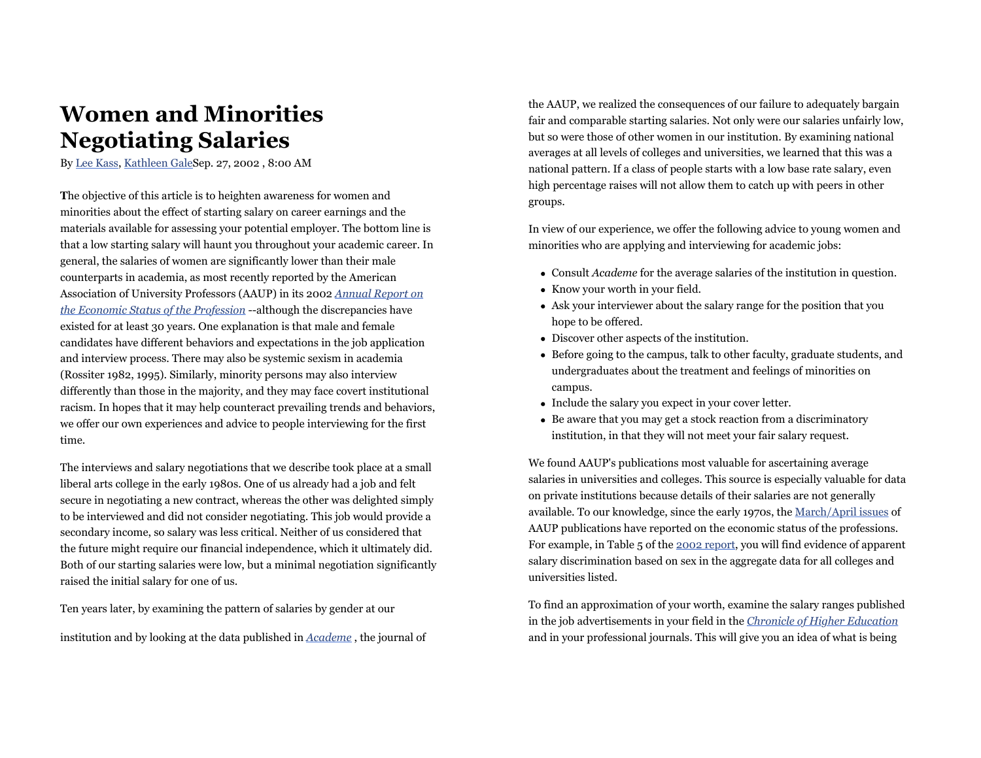## **Women and Minorities Negotiating Salaries**

By Lee Kass, Kathleen GaleSep. 27, 2002 , 8:00 AM

**T**he objective of this article is to heighten awareness for women and minorities about the effect of starting salary on career earnings and the materials available for assessing your potential employer. The bottom line is that a low starting salary will haunt you throughout your academic career. In general, the salaries of women are significantly lower than their male counterparts in academia, as most recently reported by the American Association of University Professors (AAUP) in its 2002 *Annual Report on the Economic Status of the Profession* --although the discrepancies have existed for at least 30 years. One explanation is that male and female candidates have different behaviors and expectations in the job application and interview process. There may also be systemic sexism in academia (Rossiter 1982, 1995). Similarly, minority persons may also interview differently than those in the majority, and they may face covert institutional racism. In hopes that it may help counteract prevailing trends and behaviors, we offer our own experiences and advice to people interviewing for the first time.

The interviews and salary negotiations that we describe took place at a small liberal arts college in the early 1980s. One of us already had a job and felt secure in negotiating a new contract, whereas the other was delighted simply to be interviewed and did not consider negotiating. This job would provide a secondary income, so salary was less critical. Neither of us considered that the future might require our financial independence, which it ultimately did. Both of our starting salaries were low, but a minimal negotiation significantly raised the initial salary for one of us.

Ten years later, by examining the pattern of salaries by gender at our

institution and by looking at the data published in *Academe* , the journal of

the AAUP, we realized the consequences of our failure to adequately bargain fair and comparable starting salaries. Not only were our salaries unfairly low, but so were those of other women in our institution. By examining national averages at all levels of colleges and universities, we learned that this was a national pattern. If a class of people starts with a low base rate salary, even high percentage raises will not allow them to catch up with peers in other groups.

In view of our experience, we offer the following advice to young women and minorities who are applying and interviewing for academic jobs:

- Consult *Academe* for the average salaries of the institution in question.
- Know your worth in your field.
- Ask your interviewer about the salary range for the position that you hope to be offered.
- Discover other aspects of the institution.
- Before going to the campus, talk to other faculty, graduate students, and undergraduates about the treatment and feelings of minorities on campus.
- Include the salary you expect in your cover letter.
- Be aware that you may get a stock reaction from a discriminatory institution, in that they will not meet your fair salary request.

We found AAUP's publications most valuable for ascertaining average salaries in universities and colleges. This source is especially valuable for data on private institutions because details of their salaries are not generally available. To our knowledge, since the early 1970s, the March/April issues of AAUP publications have reported on the economic status of the professions. For example, in Table 5 of the 2002 report, you will find evidence of apparent salary discrimination based on sex in the aggregate data for all colleges and universities listed.

To find an approximation of your worth, examine the salary ranges published in the job advertisements in your field in the *Chronicle of Higher Education* and in your professional journals. This will give you an idea of what is being